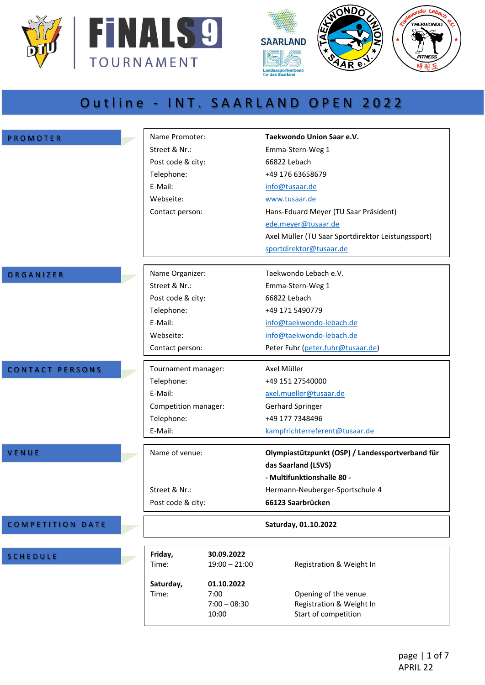



## Outline - INT. SAARLAND OPEN 2022

| PROMOTER                | Name Promoter:       |                                               | Taekwondo Union Saar e.V.                                                |  |
|-------------------------|----------------------|-----------------------------------------------|--------------------------------------------------------------------------|--|
|                         | Street & Nr.:        |                                               | Emma-Stern-Weg 1                                                         |  |
|                         | Post code & city:    |                                               | 66822 Lebach                                                             |  |
|                         | Telephone:           |                                               | +49 176 63658679                                                         |  |
|                         | E-Mail:              |                                               | info@tusaar.de                                                           |  |
|                         | Webseite:            |                                               | www.tusaar.de                                                            |  |
|                         | Contact person:      |                                               | Hans-Eduard Meyer (TU Saar Präsident)                                    |  |
|                         |                      |                                               | ede.meyer@tusaar.de                                                      |  |
|                         |                      |                                               | Axel Müller (TU Saar Sportdirektor Leistungssport)                       |  |
|                         |                      |                                               | sportdirektor@tusaar.de                                                  |  |
| ORGANIZER               | Name Organizer:      |                                               | Taekwondo Lebach e.V.                                                    |  |
|                         | Street & Nr.:        |                                               | Emma-Stern-Weg 1                                                         |  |
|                         | Post code & city:    |                                               | 66822 Lebach                                                             |  |
|                         | Telephone:           |                                               | +49 171 5490779                                                          |  |
|                         | E-Mail:              |                                               | info@taekwondo-lebach.de                                                 |  |
|                         | Webseite:            |                                               | info@taekwondo-lebach.de                                                 |  |
|                         | Contact person:      |                                               | Peter Fuhr (peter.fuhr@tusaar.de)                                        |  |
| CONTACT PERSONS         | Tournament manager:  |                                               | Axel Müller                                                              |  |
|                         | Telephone:           |                                               | +49 151 27540000                                                         |  |
|                         | E-Mail:              | axel.mueller@tusaar.de                        |                                                                          |  |
|                         | Competition manager: |                                               | <b>Gerhard Springer</b>                                                  |  |
|                         | Telephone:           |                                               | +49 177 7348496                                                          |  |
|                         | E-Mail:              |                                               | kampfrichterreferent@tusaar.de                                           |  |
| VENUE                   | Name of venue:       |                                               | Olympiastützpunkt (OSP) / Landessportverband für                         |  |
|                         |                      |                                               | das Saarland (LSVS)                                                      |  |
|                         |                      |                                               | - Multifunktionshalle 80 -                                               |  |
|                         | Street & Nr.:        |                                               | Hermann-Neuberger-Sportschule 4                                          |  |
|                         | Post code & city:    |                                               | 66123 Saarbrücken                                                        |  |
| <b>COMPETITION DATE</b> |                      |                                               | Saturday, 01.10.2022                                                     |  |
| <b>SCHEDULE</b>         | Friday,<br>Time:     | 30.09.2022<br>$19:00 - 21:00$                 | Registration & Weight In                                                 |  |
|                         | Saturday,<br>Time:   | 01.10.2022<br>7:00<br>$7:00 - 08:30$<br>10:00 | Opening of the venue<br>Registration & Weight In<br>Start of competition |  |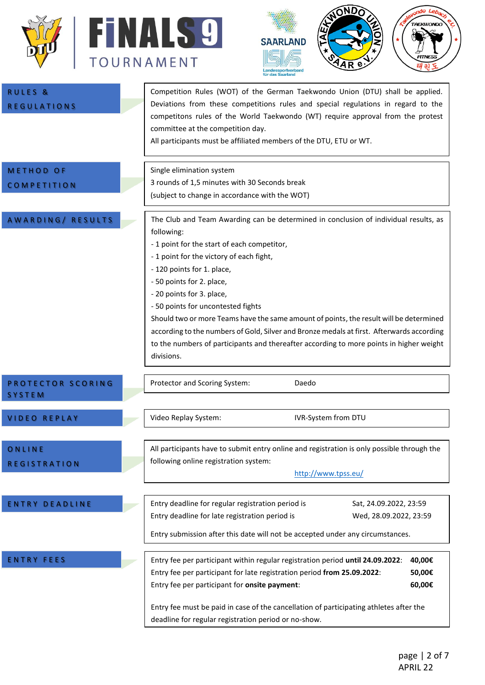



| <b>RULES &amp;</b><br><b>REGULATIONS</b> | Competition Rules (WOT) of the German Taekwondo Union (DTU) shall be applied.<br>Deviations from these competitions rules and special regulations in regard to the<br>competitons rules of the World Taekwondo (WT) require approval from the protest<br>committee at the competition day.<br>All participants must be affiliated members of the DTU, ETU or WT.                                                                                                                                                                                                                                                            |  |  |  |
|------------------------------------------|-----------------------------------------------------------------------------------------------------------------------------------------------------------------------------------------------------------------------------------------------------------------------------------------------------------------------------------------------------------------------------------------------------------------------------------------------------------------------------------------------------------------------------------------------------------------------------------------------------------------------------|--|--|--|
| <b>METHOD OF</b><br><b>COMPETITION</b>   | Single elimination system<br>3 rounds of 1,5 minutes with 30 Seconds break<br>(subject to change in accordance with the WOT)                                                                                                                                                                                                                                                                                                                                                                                                                                                                                                |  |  |  |
| AWARDING/ RESULTS                        | The Club and Team Awarding can be determined in conclusion of individual results, as<br>following:<br>- 1 point for the start of each competitor,<br>- 1 point for the victory of each fight,<br>- 120 points for 1. place,<br>- 50 points for 2. place,<br>- 20 points for 3. place,<br>- 50 points for uncontested fights<br>Should two or more Teams have the same amount of points, the result will be determined<br>according to the numbers of Gold, Silver and Bronze medals at first. Afterwards according<br>to the numbers of participants and thereafter according to more points in higher weight<br>divisions. |  |  |  |
| PROTECTOR SCORING<br><b>SYSTEM</b>       | Protector and Scoring System:<br>Daedo                                                                                                                                                                                                                                                                                                                                                                                                                                                                                                                                                                                      |  |  |  |
| <b>VIDEO REPLAY</b>                      | <b>IVR-System from DTU</b><br>Video Replay System:                                                                                                                                                                                                                                                                                                                                                                                                                                                                                                                                                                          |  |  |  |
| ONLINE<br><b>REGISTRATION</b>            | All participants have to submit entry online and registration is only possible through the<br>following online registration system:<br>http://www.tpss.eu/                                                                                                                                                                                                                                                                                                                                                                                                                                                                  |  |  |  |
| <b>ENTRY DEADLINE</b>                    | Entry deadline for regular registration period is<br>Sat, 24.09.2022, 23:59<br>Entry deadline for late registration period is<br>Wed, 28.09.2022, 23:59<br>Entry submission after this date will not be accepted under any circumstances.                                                                                                                                                                                                                                                                                                                                                                                   |  |  |  |
| ENTRY FEES                               | Entry fee per participant within regular registration period until 24.09.2022:<br>40,00€<br>Entry fee per participant for late registration period from 25.09.2022:<br>50,00€<br>Entry fee per participant for onsite payment:<br>60,00€<br>Entry fee must be paid in case of the cancellation of participating athletes after the<br>deadline for regular registration period or no-show.                                                                                                                                                                                                                                  |  |  |  |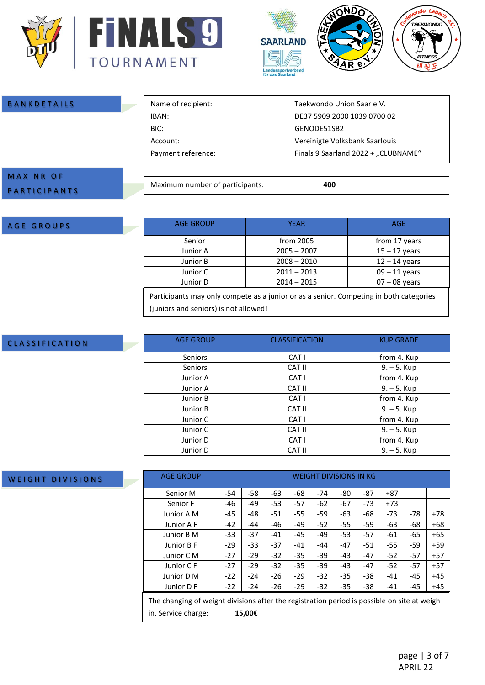



| <b>BANKDETAILS</b>      | Name of recipient:              | Taekwondo Union Saar e.V.           |
|-------------------------|---------------------------------|-------------------------------------|
|                         | IBAN:                           | DE37 5909 2000 1039 0700 02         |
|                         | BIC:                            | GENODE51SB2                         |
|                         | Account:                        | Vereinigte Volksbank Saarlouis      |
|                         | Payment reference:              | Finals 9 Saarland 2022 + "CLUBNAME" |
|                         |                                 |                                     |
| <b>MAX NR OF</b>        |                                 |                                     |
| - - - - - - - - - - - - | Maximum number of participants: | 400                                 |

# A G E G R O U P S

P A R T I C I P A N T S

| <b>AGE GROUP</b>                                                                                                          | <b>YEAR</b>   | AGE                                              |
|---------------------------------------------------------------------------------------------------------------------------|---------------|--------------------------------------------------|
| Senior                                                                                                                    | from 2005     | from 17 years                                    |
| Junior A                                                                                                                  | $2005 - 2007$ | $15 - 17$ years                                  |
| Junior B                                                                                                                  | $2008 - 2010$ | $12 - 14$ years                                  |
| Junior C                                                                                                                  | $2011 - 2013$ | $09 - 11$ years                                  |
| Junior D                                                                                                                  | $2014 - 2015$ | $07 - 08$ years                                  |
| ______<br>the contract of the contract of the contract of the contract of the contract of the contract of the contract of |               | $\sim$ $\sim$ $\sim$ $\sim$ $\sim$ $\sim$ $\sim$ |

Participants may only compete as a junior or as a senior. Competing in both categories (juniors and seniors) is not allowed!

#### C L A S S I F I C A T I O N

WEIGHT DIVISIONS

| <b>AGE GROUP</b> | <b>CLASSIFICATION</b> | <b>KUP GRADE</b> |
|------------------|-----------------------|------------------|
| <b>Seniors</b>   | CAT I                 | from 4. Kup      |
| <b>Seniors</b>   | CAT II                | $9. - 5.$ Kup    |
| Junior A         | CAT I                 | from 4. Kup      |
| Junior A         | CAT II                | $9. - 5.$ Kup    |
| Junior B         | CAT I                 | from 4. Kup      |
| Junior B         | CAT II                | $9. - 5.$ Kup    |
| Junior C         | CAT I                 | from 4. Kup      |
| Junior C         | CAT II                | $9. - 5.$ Kup    |
| Junior D         | CAT I                 | from 4. Kup      |
| Junior D         | <b>CAT II</b>         | $9. - 5.$ Kup    |

| <b>AGE GROUP</b>                                                                            | <b>WEIGHT DIVISIONS IN KG</b> |        |       |       |       |       |       |       |       |       |
|---------------------------------------------------------------------------------------------|-------------------------------|--------|-------|-------|-------|-------|-------|-------|-------|-------|
| Senior M                                                                                    | $-54$                         | $-58$  | -63   | -68   | $-74$ | -80   | $-87$ | $+87$ |       |       |
| Senior F                                                                                    | -46                           | $-49$  | $-53$ | $-57$ | $-62$ | $-67$ | $-73$ | $+73$ |       |       |
| Junior A M                                                                                  | -45                           | -48    | $-51$ | $-55$ | $-59$ | -63   | -68   | $-73$ | $-78$ | $+78$ |
| Junior A F                                                                                  | -42                           | -44    | $-46$ | $-49$ | $-52$ | $-55$ | $-59$ | -63   | $-68$ | $+68$ |
| Junior B M                                                                                  | $-33$                         | $-37$  | $-41$ | $-45$ | $-49$ | $-53$ | $-57$ | $-61$ | -65   | $+65$ |
| Junior B F                                                                                  | $-29$                         | $-33$  | $-37$ | $-41$ | $-44$ | $-47$ | $-51$ | $-55$ | -59   | $+59$ |
| Junior C M                                                                                  | $-27$                         | $-29$  | $-32$ | $-35$ | -39   | $-43$ | $-47$ | $-52$ | $-57$ | $+57$ |
| Junior C F                                                                                  | $-27$                         | $-29$  | $-32$ | $-35$ | $-39$ | $-43$ | $-47$ | $-52$ | $-57$ | $+57$ |
| Junior D M                                                                                  | $-22$                         | $-24$  | $-26$ | $-29$ | $-32$ | $-35$ | $-38$ | $-41$ | $-45$ | $+45$ |
| Junior D F                                                                                  | $-22$                         | $-24$  | $-26$ | $-29$ | $-32$ | $-35$ | $-38$ | $-41$ | $-45$ | $+45$ |
| The changing of weight divisions after the registration period is possible on site at weigh |                               |        |       |       |       |       |       |       |       |       |
| in. Service charge:                                                                         |                               | 15,00€ |       |       |       |       |       |       |       |       |

#### page | 3 of 7 APRIL 22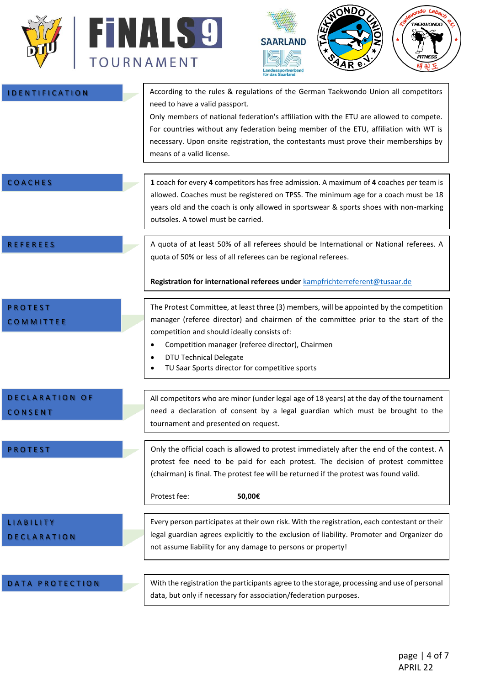



| <b>IDENTIFICATION</b>                  | According to the rules & regulations of the German Taekwondo Union all competitors<br>need to have a valid passport.<br>Only members of national federation's affiliation with the ETU are allowed to compete.<br>For countries without any federation being member of the ETU, affiliation with WT is<br>necessary. Upon onsite registration, the contestants must prove their memberships by<br>means of a valid license. |
|----------------------------------------|-----------------------------------------------------------------------------------------------------------------------------------------------------------------------------------------------------------------------------------------------------------------------------------------------------------------------------------------------------------------------------------------------------------------------------|
| COACHES                                | 1 coach for every 4 competitors has free admission. A maximum of 4 coaches per team is<br>allowed. Coaches must be registered on TPSS. The minimum age for a coach must be 18<br>years old and the coach is only allowed in sportswear & sports shoes with non-marking<br>outsoles. A towel must be carried.                                                                                                                |
| <b>REFEREES</b>                        | A quota of at least 50% of all referees should be International or National referees. A<br>quota of 50% or less of all referees can be regional referees.                                                                                                                                                                                                                                                                   |
|                                        | Registration for international referees under kampfrichterreferent@tusaar.de                                                                                                                                                                                                                                                                                                                                                |
| <b>PROTEST</b><br>COMMITTEE            | The Protest Committee, at least three (3) members, will be appointed by the competition<br>manager (referee director) and chairmen of the committee prior to the start of the<br>competition and should ideally consists of:<br>Competition manager (referee director), Chairmen<br>٠<br>DTU Technical Delegate<br>TU Saar Sports director for competitive sports                                                           |
| DECLARATION OF<br>CONSENT              | All competitors who are minor (under legal age of 18 years) at the day of the tournament<br>need a declaration of consent by a legal guardian which must be brought to the<br>tournament and presented on request.                                                                                                                                                                                                          |
| <b>PROTEST</b>                         | Only the official coach is allowed to protest immediately after the end of the contest. A<br>protest fee need to be paid for each protest. The decision of protest committee<br>(chairman) is final. The protest fee will be returned if the protest was found valid.<br>Protest fee:<br>50,00€                                                                                                                             |
| <b>LIABILITY</b><br><b>DECLARATION</b> | Every person participates at their own risk. With the registration, each contestant or their<br>legal guardian agrees explicitly to the exclusion of liability. Promoter and Organizer do<br>not assume liability for any damage to persons or property!                                                                                                                                                                    |
| DATA PROTECTION                        | With the registration the participants agree to the storage, processing and use of personal<br>data, but only if necessary for association/federation purposes.                                                                                                                                                                                                                                                             |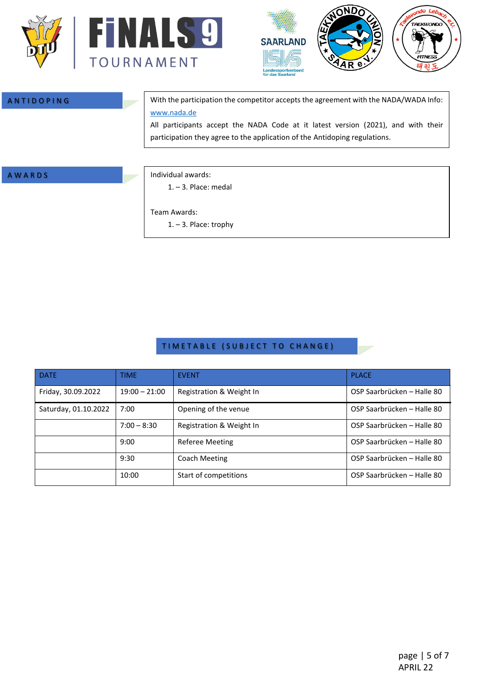



A N T I D O P I N G WITH STATE  $\sim$  With the participation the competitor accepts the agreement with the NADA/WADA Info: [www.nada.de](http://www.nada.de/)

> All participants accept the NADA Code at it latest version (2021), and with their participation they agree to the application of the Antidoping regulations.

#### A W A R D S **Individual awards:**

1. – 3. Place: medal

Team Awards:

1. – 3. Place: trophy

#### TIMETABLE (SUBJECT TO CHANGE)

| <b>DATE</b>          | <b>TIME</b>     | <b>EVENT</b>             | <b>PLACE</b>               |
|----------------------|-----------------|--------------------------|----------------------------|
| Friday, 30.09.2022   | $19:00 - 21:00$ | Registration & Weight In | OSP Saarbrücken - Halle 80 |
| Saturday, 01.10.2022 | 7:00            | Opening of the venue     | OSP Saarbrücken – Halle 80 |
|                      | $7:00 - 8:30$   | Registration & Weight In | OSP Saarbrücken – Halle 80 |
|                      | 9:00            | Referee Meeting          | OSP Saarbrücken - Halle 80 |
|                      | 9:30            | Coach Meeting            | OSP Saarbrücken - Halle 80 |
|                      | 10:00           | Start of competitions    | OSP Saarbrücken - Halle 80 |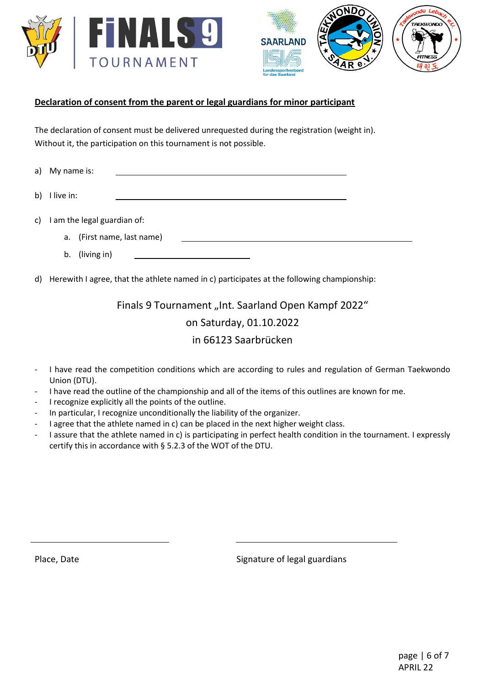



### **Declaration of consent from the parent or legal guardians for minor participant**

The declaration of consent must be delivered unrequested during the registration (weight in). Without it, the participation on this tournament is not possible.

a) My name is:

b) I live in:

- c) I am the legal guardian of:
	- a. (First name, last name)
	- b. (living in)

d) Herewith I agree, that the athlete named in c) participates at the following championship:

Finals 9 Tournament "Int. Saarland Open Kampf 2022" on Saturday, 01.10.2022 in 66123 Saarbrücken

- I have read the competition conditions which are according to rules and regulation of German Taekwondo Union (DTU).
- I have read the outline of the championship and all of the items of this outlines are known for me.
- I recognize explicitly all the points of the outline.
- In particular, I recognize unconditionally the liability of the organizer.
- I agree that the athlete named in c) can be placed in the next higher weight class.
- I assure that the athlete named in c) is participating in perfect health condition in the tournament. I expressly certify this in accordance with § 5.2.3 of the WOT of the DTU.

Place, Date **Signature of legal guardians**